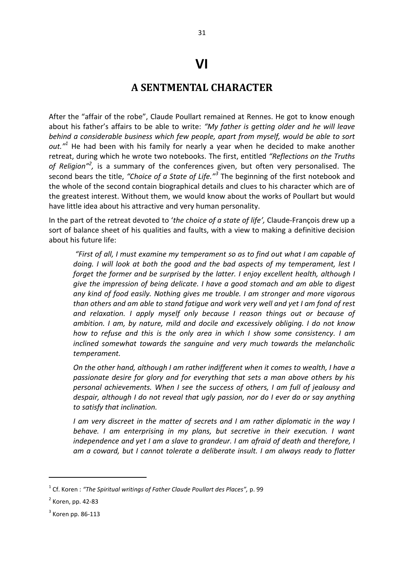## **VI**

## **A SENTMENTAL CHARACTER**

After the "affair of the robe", Claude Poullart remained at Rennes. He got to know enough about his father's affairs to be able to write: *"My father is getting older and he will leave behind a considerable business which few people, apart from myself, would be able to sort out."<sup>1</sup>* He had been with his family for nearly a year when he decided to make another retreat, during which he wrote two notebooks. The first, entitled *"Reflections on the Truths*  of Religion<sup>"<sup>2</sup>, is a summary of the conferences given, but often very personalised. The</sup> second bears the title, *"Choice of a State of Life."<sup>3</sup>* The beginning of the first notebook and the whole of the second contain biographical details and clues to his character which are of the greatest interest. Without them, we would know about the works of Poullart but would have little idea about his attractive and very human personality.

In the part of the retreat devoted to '*the choice of a state of life',* Claude-François drew up a sort of balance sheet of his qualities and faults, with a view to making a definitive decision about his future life:

*"First of all, I must examine my temperament so as to find out what I am capable of doing. I will look at both the good and the bad aspects of my temperament, lest I forget the former and be surprised by the latter. I enjoy excellent health, although I give the impression of being delicate. I have a good stomach and am able to digest any kind of food easily. Nothing gives me trouble. I am stronger and more vigorous than others and am able to stand fatigue and work very well and yet I am fond of rest and relaxation. I apply myself only because I reason things out or because of ambition. I am, by nature, mild and docile and excessively obliging. I do not know how to refuse and this is the only area in which I show some consistency. I am inclined somewhat towards the sanguine and very much towards the melancholic temperament.* 

*On the other hand, although I am rather indifferent when it comes to wealth, I have a passionate desire for glory and for everything that sets a man above others by his personal achievements. When I see the success of others, I am full of jealousy and despair, although I do not reveal that ugly passion, nor do I ever do or say anything to satisfy that inclination.* 

*I am very discreet in the matter of secrets and I am rather diplomatic in the way I behave. I am enterprising in my plans, but secretive in their execution. I want independence and yet I am a slave to grandeur. I am afraid of death and therefore, I am a coward, but I cannot tolerate a deliberate insult. I am always ready to flatter* 

**.** 

<sup>&</sup>lt;sup>1</sup> Cf. Koren : "The Spiritual writings of Father Claude Poullart des Places", p. 99

<sup>&</sup>lt;sup>2</sup> Koren, pp. 42-83

 $3$  Koren pp. 86-113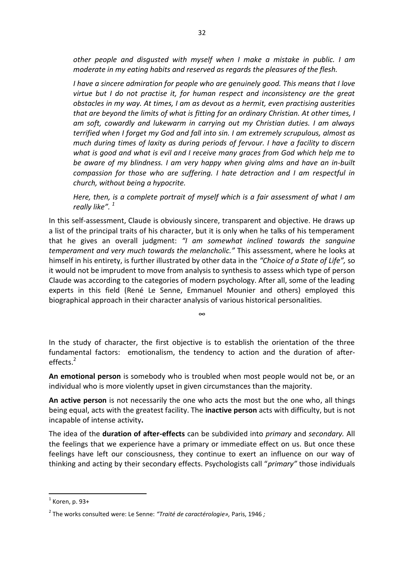*other people and disgusted with myself when I make a mistake in public. I am moderate in my eating habits and reserved as regards the pleasures of the flesh.* 

*I have a sincere admiration for people who are genuinely good. This means that I love virtue but I do not practise it, for human respect and inconsistency are the great obstacles in my way. At times, I am as devout as a hermit, even practising austerities that are beyond the limits of what is fitting for an ordinary Christian. At other times, I am soft, cowardly and lukewarm in carrying out my Christian duties. I am always terrified when I forget my God and fall into sin. I am extremely scrupulous, almost as much during times of laxity as during periods of fervour. I have a facility to discern what is good and what is evil and I receive many graces from God which help me to be aware of my blindness. I am very happy when giving alms and have an in-built compassion for those who are suffering. I hate detraction and I am respectful in church, without being a hypocrite.* 

*Here, then, is a complete portrait of myself which is a fair assessment of what I am really like". 1* 

In this self-assessment, Claude is obviously sincere, transparent and objective. He draws up a list of the principal traits of his character, but it is only when he talks of his temperament that he gives an overall judgment: *"I am somewhat inclined towards the sanguine temperament and very much towards the melancholic."* This assessment, where he looks at himself in his entirety, is further illustrated by other data in the *"Choice of a State of Life",* so it would not be imprudent to move from analysis to synthesis to assess which type of person Claude was according to the categories of modern psychology. After all, some of the leading experts in this field (René Le Senne, Emmanuel Mounier and others) employed this biographical approach in their character analysis of various historical personalities.

In the study of character, the first objective is to establish the orientation of the three fundamental factors: emotionalism, the tendency to action and the duration of after $eff$ effects<sup> $2$ </sup>

∞

**An emotional person** is somebody who is troubled when most people would not be, or an individual who is more violently upset in given circumstances than the majority.

**An active person** is not necessarily the one who acts the most but the one who, all things being equal, acts with the greatest facility. The **inactive person** acts with difficulty, but is not incapable of intense activity**.** 

The idea of the **duration of after-effects** can be subdivided into *primary* and *secondary.* All the feelings that we experience have a primary or immediate effect on us. But once these feelings have left our consciousness, they continue to exert an influence on our way of thinking and acting by their secondary effects. Psychologists call "*primary"* those individuals

**.** 

 $<sup>1</sup>$  Koren, p. 93+</sup>

<sup>2</sup> The works consulted were: Le Senne: *"Traité de caractérologie»,* Paris, 1946 *;*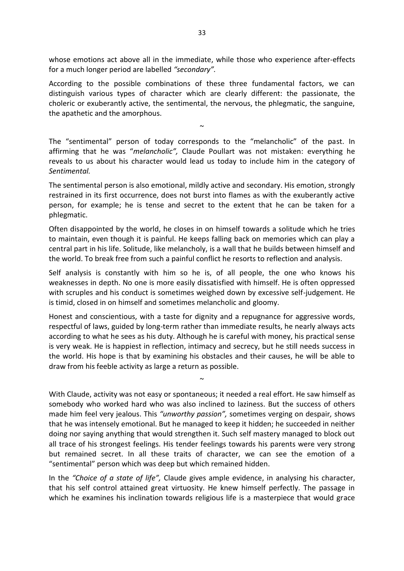whose emotions act above all in the immediate, while those who experience after-effects for a much longer period are labelled *"secondary".* 

According to the possible combinations of these three fundamental factors, we can distinguish various types of character which are clearly different: the passionate, the choleric or exuberantly active, the sentimental, the nervous, the phlegmatic, the sanguine, the apathetic and the amorphous.

The "sentimental" person of today corresponds to the "melancholic" of the past. In affirming that he was "*melancholic",* Claude Poullart was not mistaken: everything he reveals to us about his character would lead us today to include him in the category of *Sentimental.* 

 $\sim$ 

The sentimental person is also emotional, mildly active and secondary. His emotion, strongly restrained in its first occurrence, does not burst into flames as with the exuberantly active person, for example; he is tense and secret to the extent that he can be taken for a phlegmatic.

Often disappointed by the world, he closes in on himself towards a solitude which he tries to maintain, even though it is painful. He keeps falling back on memories which can play a central part in his life. Solitude, like melancholy, is a wall that he builds between himself and the world. To break free from such a painful conflict he resorts to reflection and analysis.

Self analysis is constantly with him so he is, of all people, the one who knows his weaknesses in depth. No one is more easily dissatisfied with himself. He is often oppressed with scruples and his conduct is sometimes weighed down by excessive self-judgement. He is timid, closed in on himself and sometimes melancholic and gloomy.

Honest and conscientious, with a taste for dignity and a repugnance for aggressive words, respectful of laws, guided by long-term rather than immediate results, he nearly always acts according to what he sees as his duty. Although he is careful with money, his practical sense is very weak. He is happiest in reflection, intimacy and secrecy, but he still needs success in the world. His hope is that by examining his obstacles and their causes, he will be able to draw from his feeble activity as large a return as possible.

 $\sim$ 

With Claude, activity was not easy or spontaneous; it needed a real effort. He saw himself as somebody who worked hard who was also inclined to laziness. But the success of others made him feel very jealous. This *"unworthy passion",* sometimes verging on despair*,* shows that he was intensely emotional. But he managed to keep it hidden; he succeeded in neither doing nor saying anything that would strengthen it. Such self mastery managed to block out all trace of his strongest feelings. His tender feelings towards his parents were very strong but remained secret. In all these traits of character, we can see the emotion of a "sentimental" person which was deep but which remained hidden.

In the *"Choice of a state of life",* Claude gives ample evidence, in analysing his character, that his self control attained great virtuosity. He knew himself perfectly. The passage in which he examines his inclination towards religious life is a masterpiece that would grace